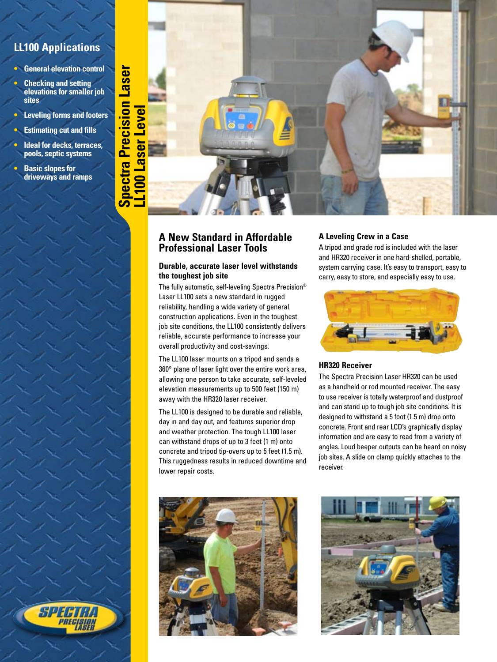# **LL100 Applications**

- **• General elevation control**
- **• Checking and setting elevations for smaller job sites**
- **• Leveling forms and footers**
- **• Estimating cut and fills**
- **• Ideal for decks, terraces, pools, septic systems**
- **• Basic slopes for driveways and ramps**

SPF



## **A New Standard in Affordable Professional Laser Tools**

## **Durable, accurate laser level withstands the toughest job site**

The fully automatic, self-leveling Spectra Precision® Laser LL100 sets a new standard in rugged reliability, handling a wide variety of general construction applications. Even in the toughest job site conditions, the LL100 consistently delivers reliable, accurate performance to increase your overall productivity and cost-savings.

The LL100 laser mounts on a tripod and sends a 360° plane of laser light over the entire work area, allowing one person to take accurate, self-leveled elevation measurements up to 500 feet (150 m) away with the HR320 laser receiver.

The LL100 is designed to be durable and reliable, day in and day out, and features superior drop and weather protection. The tough LL100 laser can withstand drops of up to 3 feet (1 m) onto concrete and tripod tip-overs up to 5 feet (1.5 m). This ruggedness results in reduced downtime and lower repair costs.



## **A Leveling Crew in a Case**

A tripod and grade rod is included with the laser and HR320 receiver in one hard-shelled, portable, system carrying case. It's easy to transport, easy to carry, easy to store, and especially easy to use.



## **HR320 Receiver**

The Spectra Precision Laser HR320 can be used as a handheld or rod mounted receiver. The easy to use receiver is totally waterproof and dustproof and can stand up to tough job site conditions. It is designed to withstand a 5 foot (1.5 m) drop onto concrete. Front and rear LCD's graphically display information and are easy to read from a variety of angles. Loud beeper outputs can be heard on noisy job sites. A slide on clamp quickly attaches to the receiver.